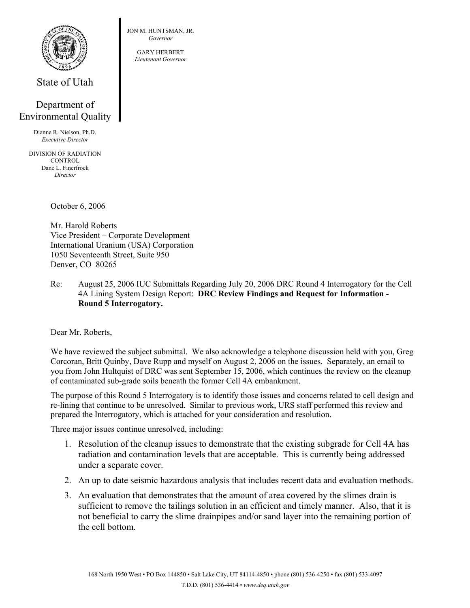

State of Utah

## Department of Environmental Quality

Dianne R. Nielson, Ph.D. *Executive Director* 

DIVISION OF RADIATION **CONTROL** Dane L. Finerfrock *Director* 

October 6, 2006

Mr. Harold Roberts Vice President – Corporate Development International Uranium (USA) Corporation 1050 Seventeenth Street, Suite 950 Denver, CO 80265

Re: August 25, 2006 IUC Submittals Regarding July 20, 2006 DRC Round 4 Interrogatory for the Cell 4A Lining System Design Report: **DRC Review Findings and Request for Information - Round 5 Interrogatory.** 

Dear Mr. Roberts,

We have reviewed the subject submittal. We also acknowledge a telephone discussion held with you, Greg Corcoran, Britt Quinby, Dave Rupp and myself on August 2, 2006 on the issues. Separately, an email to you from John Hultquist of DRC was sent September 15, 2006, which continues the review on the cleanup of contaminated sub-grade soils beneath the former Cell 4A embankment.

The purpose of this Round 5 Interrogatory is to identify those issues and concerns related to cell design and re-lining that continue to be unresolved. Similar to previous work, URS staff performed this review and prepared the Interrogatory, which is attached for your consideration and resolution.

Three major issues continue unresolved, including:

- 1. Resolution of the cleanup issues to demonstrate that the existing subgrade for Cell 4A has radiation and contamination levels that are acceptable. This is currently being addressed under a separate cover.
- 2. An up to date seismic hazardous analysis that includes recent data and evaluation methods.
- 3. An evaluation that demonstrates that the amount of area covered by the slimes drain is sufficient to remove the tailings solution in an efficient and timely manner. Also, that it is not beneficial to carry the slime drainpipes and/or sand layer into the remaining portion of the cell bottom.

JON M. HUNTSMAN, JR. *Governor* 

> GARY HERBERT *Lieutenant Governor*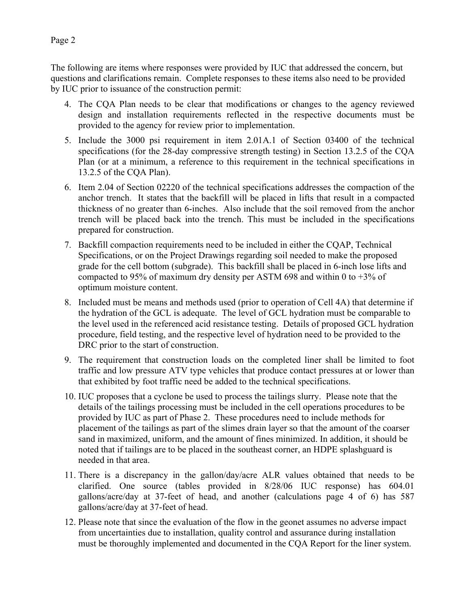The following are items where responses were provided by IUC that addressed the concern, but questions and clarifications remain. Complete responses to these items also need to be provided by IUC prior to issuance of the construction permit:

- 4. The CQA Plan needs to be clear that modifications or changes to the agency reviewed design and installation requirements reflected in the respective documents must be provided to the agency for review prior to implementation.
- 5. Include the 3000 psi requirement in item 2.01A.1 of Section 03400 of the technical specifications (for the 28-day compressive strength testing) in Section 13.2.5 of the CQA Plan (or at a minimum, a reference to this requirement in the technical specifications in 13.2.5 of the CQA Plan).
- 6. Item 2.04 of Section 02220 of the technical specifications addresses the compaction of the anchor trench. It states that the backfill will be placed in lifts that result in a compacted thickness of no greater than 6-inches. Also include that the soil removed from the anchor trench will be placed back into the trench. This must be included in the specifications prepared for construction.
- 7. Backfill compaction requirements need to be included in either the CQAP, Technical Specifications, or on the Project Drawings regarding soil needed to make the proposed grade for the cell bottom (subgrade). This backfill shall be placed in 6-inch lose lifts and compacted to 95% of maximum dry density per ASTM 698 and within 0 to  $+3\%$  of optimum moisture content.
- 8. Included must be means and methods used (prior to operation of Cell 4A) that determine if the hydration of the GCL is adequate. The level of GCL hydration must be comparable to the level used in the referenced acid resistance testing. Details of proposed GCL hydration procedure, field testing, and the respective level of hydration need to be provided to the DRC prior to the start of construction.
- 9. The requirement that construction loads on the completed liner shall be limited to foot traffic and low pressure ATV type vehicles that produce contact pressures at or lower than that exhibited by foot traffic need be added to the technical specifications.
- 10. IUC proposes that a cyclone be used to process the tailings slurry. Please note that the details of the tailings processing must be included in the cell operations procedures to be provided by IUC as part of Phase 2. These procedures need to include methods for placement of the tailings as part of the slimes drain layer so that the amount of the coarser sand in maximized, uniform, and the amount of fines minimized. In addition, it should be noted that if tailings are to be placed in the southeast corner, an HDPE splashguard is needed in that area.
- 11. There is a discrepancy in the gallon/day/acre ALR values obtained that needs to be clarified. One source (tables provided in 8/28/06 IUC response) has 604.01 gallons/acre/day at 37-feet of head, and another (calculations page 4 of 6) has 587 gallons/acre/day at 37-feet of head.
- 12. Please note that since the evaluation of the flow in the geonet assumes no adverse impact from uncertainties due to installation, quality control and assurance during installation must be thoroughly implemented and documented in the CQA Report for the liner system.